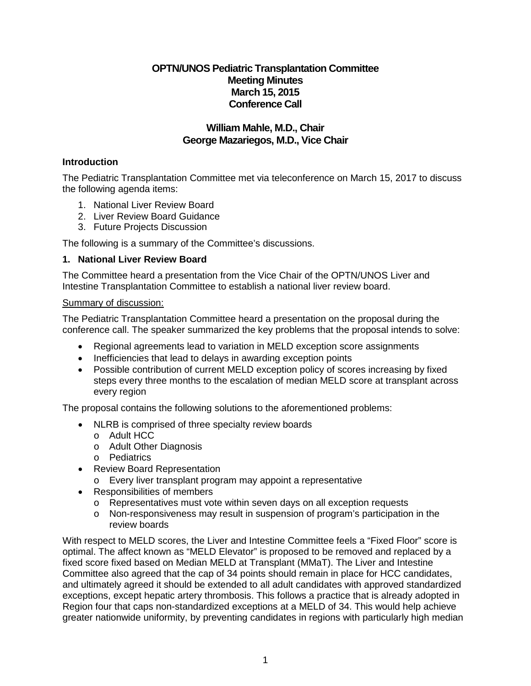# **OPTN/UNOS Pediatric Transplantation Committee Meeting Minutes March 15, 2015 Conference Call**

# **William Mahle, M.D., Chair George Mazariegos, M.D., Vice Chair**

## **Introduction**

The Pediatric Transplantation Committee met via teleconference on March 15, 2017 to discuss the following agenda items:

- 1. National Liver Review Board
- 2. Liver Review Board Guidance
- 3. Future Projects Discussion

The following is a summary of the Committee's discussions.

## **1. National Liver Review Board**

The Committee heard a presentation from the Vice Chair of the OPTN/UNOS Liver and Intestine Transplantation Committee to establish a national liver review board.

## Summary of discussion:

The Pediatric Transplantation Committee heard a presentation on the proposal during the conference call. The speaker summarized the key problems that the proposal intends to solve:

- Regional agreements lead to variation in MELD exception score assignments
- Inefficiencies that lead to delays in awarding exception points
- Possible contribution of current MELD exception policy of scores increasing by fixed steps every three months to the escalation of median MELD score at transplant across every region

The proposal contains the following solutions to the aforementioned problems:

- NLRB is comprised of three specialty review boards
	- o Adult HCC
	- o Adult Other Diagnosis
	- o Pediatrics
- Review Board Representation
	- o Every liver transplant program may appoint a representative
- Responsibilities of members
	- o Representatives must vote within seven days on all exception requests
	- o Non-responsiveness may result in suspension of program's participation in the review boards

With respect to MELD scores, the Liver and Intestine Committee feels a "Fixed Floor" score is optimal. The affect known as "MELD Elevator" is proposed to be removed and replaced by a fixed score fixed based on Median MELD at Transplant (MMaT). The Liver and Intestine Committee also agreed that the cap of 34 points should remain in place for HCC candidates, and ultimately agreed it should be extended to all adult candidates with approved standardized exceptions, except hepatic artery thrombosis. This follows a practice that is already adopted in Region four that caps non-standardized exceptions at a MELD of 34. This would help achieve greater nationwide uniformity, by preventing candidates in regions with particularly high median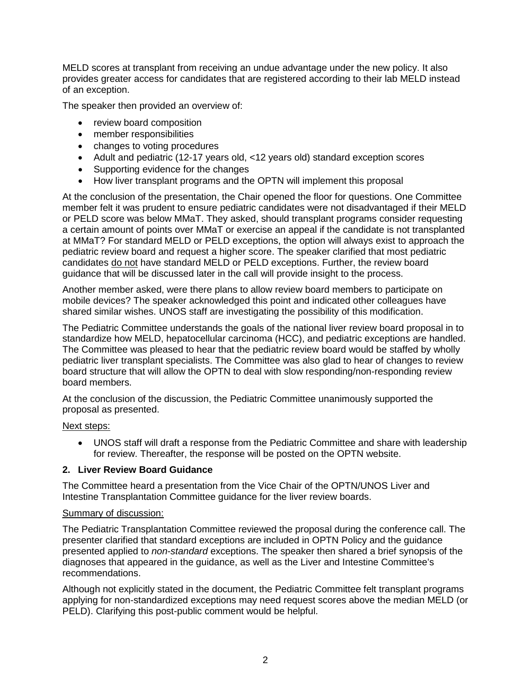MELD scores at transplant from receiving an undue advantage under the new policy. It also provides greater access for candidates that are registered according to their lab MELD instead of an exception.

The speaker then provided an overview of:

- review board composition
- member responsibilities
- changes to voting procedures
- Adult and pediatric (12-17 years old, <12 years old) standard exception scores
- Supporting evidence for the changes
- How liver transplant programs and the OPTN will implement this proposal

At the conclusion of the presentation, the Chair opened the floor for questions. One Committee member felt it was prudent to ensure pediatric candidates were not disadvantaged if their MELD or PELD score was below MMaT. They asked, should transplant programs consider requesting a certain amount of points over MMaT or exercise an appeal if the candidate is not transplanted at MMaT? For standard MELD or PELD exceptions, the option will always exist to approach the pediatric review board and request a higher score. The speaker clarified that most pediatric candidates do not have standard MELD or PELD exceptions. Further, the review board guidance that will be discussed later in the call will provide insight to the process.

Another member asked, were there plans to allow review board members to participate on mobile devices? The speaker acknowledged this point and indicated other colleagues have shared similar wishes. UNOS staff are investigating the possibility of this modification.

The Pediatric Committee understands the goals of the national liver review board proposal in to standardize how MELD, hepatocellular carcinoma (HCC), and pediatric exceptions are handled. The Committee was pleased to hear that the pediatric review board would be staffed by wholly pediatric liver transplant specialists. The Committee was also glad to hear of changes to review board structure that will allow the OPTN to deal with slow responding/non-responding review board members.

At the conclusion of the discussion, the Pediatric Committee unanimously supported the proposal as presented.

#### Next steps:

• UNOS staff will draft a response from the Pediatric Committee and share with leadership for review. Thereafter, the response will be posted on the OPTN website.

#### **2. Liver Review Board Guidance**

The Committee heard a presentation from the Vice Chair of the OPTN/UNOS Liver and Intestine Transplantation Committee guidance for the liver review boards.

#### Summary of discussion:

The Pediatric Transplantation Committee reviewed the proposal during the conference call. The presenter clarified that standard exceptions are included in OPTN Policy and the guidance presented applied to *non-standard* exceptions. The speaker then shared a brief synopsis of the diagnoses that appeared in the guidance, as well as the Liver and Intestine Committee's recommendations.

Although not explicitly stated in the document, the Pediatric Committee felt transplant programs applying for non-standardized exceptions may need request scores above the median MELD (or PELD). Clarifying this post-public comment would be helpful.